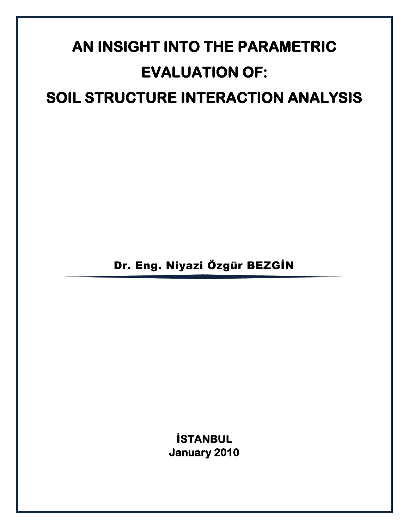# **AN INSIGHT INTO THE PARAMETRIC EVALUATION OF: SOIL STRUCTURE INTERACTION ANALYSIS**

Dr. Eng. Niyazi Özgür BEZGİN

İ**STANBUL January 2010**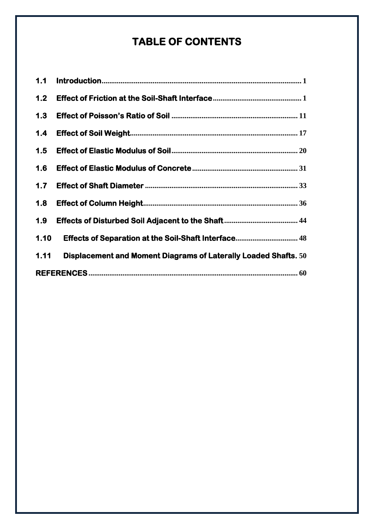# **TABLE OF CONTENTS**

| 1.1   |                                                                 |  |  |  |  |
|-------|-----------------------------------------------------------------|--|--|--|--|
| $1.2$ |                                                                 |  |  |  |  |
| 1.3   |                                                                 |  |  |  |  |
| 1.4   |                                                                 |  |  |  |  |
| 1.5   |                                                                 |  |  |  |  |
| 1.6   |                                                                 |  |  |  |  |
| 1.7   |                                                                 |  |  |  |  |
| 1.8   |                                                                 |  |  |  |  |
| 1.9   |                                                                 |  |  |  |  |
| 1.10  |                                                                 |  |  |  |  |
| 1.11  | Displacement and Moment Diagrams of Laterally Loaded Shafts. 50 |  |  |  |  |
|       |                                                                 |  |  |  |  |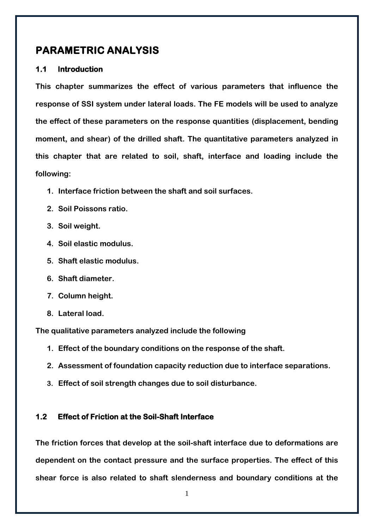### **PARAMETRIC ANALYSIS**

#### <span id="page-2-0"></span>**1.1 Introduction**

**This chapter summarizes the effect of various parameters that influence the response of SSI system under lateral loads. The FE models will be used to analyze the effect of these parameters on the response quantities (displacement, bending moment, and shear) of the drilled shaft. The quantitative parameters analyzed in this chapter that are related to soil, shaft, interface and loading include the following:**

- **1. Interface friction between the shaft and soil surfaces.**
- **2. Soil Poissons ratio.**
- **3. Soil weight.**
- **4. Soil elastic modulus.**
- **5. Shaft elastic modulus.**
- **6. Shaft diameter.**
- **7. Column height.**
- **8. Lateral load.**

**The qualitative parameters analyzed include the following**

- **1. Effect of the boundary conditions on the response of the shaft.**
- **2. Assessment of foundation capacity reduction due to interface separations.**
- **3. Effect of soil strength changes due to soil disturbance.**

#### <span id="page-2-1"></span>**1.2 Effect of Friction at the Soil-Shaft Interface**

**The friction forces that develop at the soil-shaft interface due to deformations are dependent on the contact pressure and the surface properties. The effect of this shear force is also related to shaft slenderness and boundary conditions at the**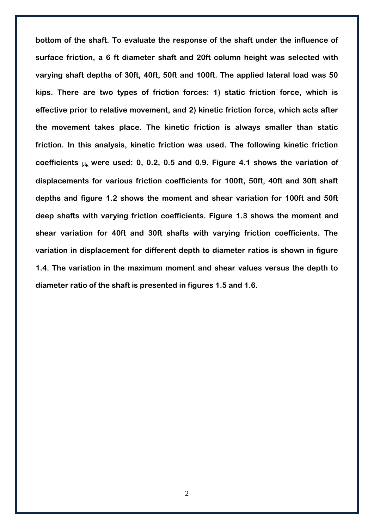**bottom of the shaft. To evaluate the response of the shaft under the influence of surface friction, a 6 ft diameter shaft and 20ft column height was selected with varying shaft depths of 30ft, 40ft, 50ft and 100ft. The applied lateral load was 50 kips. There are two types of friction forces: 1) static friction force, which is effective prior to relative movement, and 2) kinetic friction force, which acts after the movement takes place. The kinetic friction is always smaller than static friction. In this analysis, kinetic friction was used. The following kinetic friction**  coefficients  $\mu_k$  were used: 0, 0.2, 0.5 and 0.9. Figure 4.1 shows the variation of **displacements for various friction coefficients for 100ft, 50ft, 40ft and 30ft shaft depths and figure 1.2 shows the moment and shear variation for 100ft and 50ft deep shafts with varying friction coefficients. Figure 1.3 shows the moment and shear variation for 40ft and 30ft shafts with varying friction coefficients. The variation in displacement for different depth to diameter ratios is shown in figure 1.4. The variation in the maximum moment and shear values versus the depth to diameter ratio of the shaft is presented in figures 1.5 and 1.6.**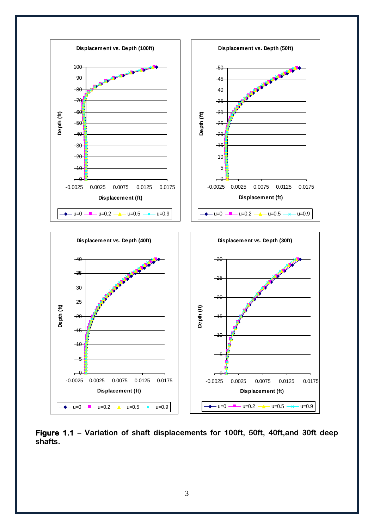

**Figure 1.1 – Variation of shaft displacements for 100ft, 50ft, 40ft,and 30ft deep shafts.**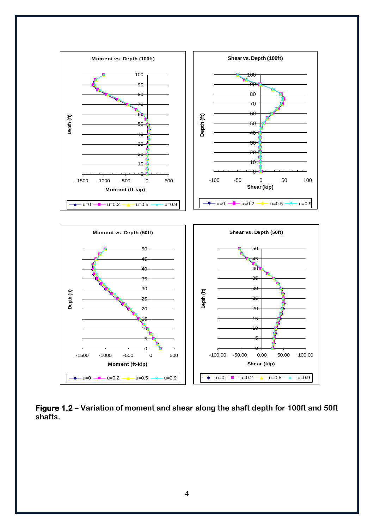

**Figure 1.2 – Variation of moment and shear along the shaft depth for 100ft and 50ft shafts.**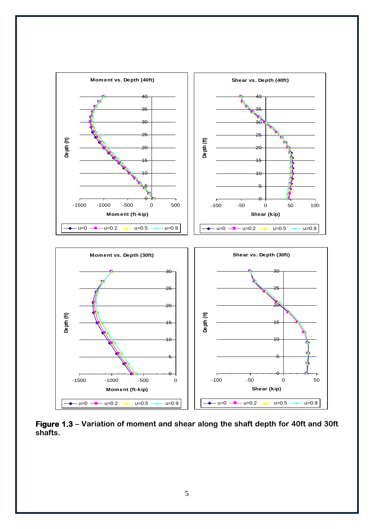

**Figure 1.3 – Variation of moment and shear along the shaft depth for 40ft and 30ft shafts.**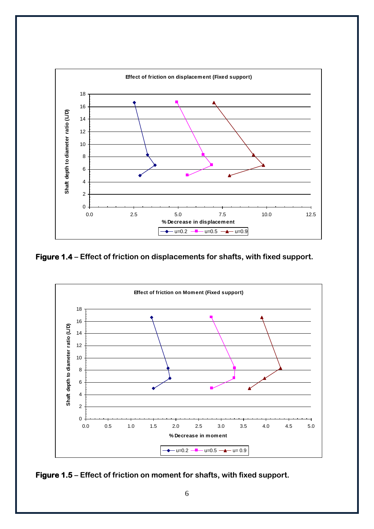![](_page_7_Figure_0.jpeg)

**Figure 1.4 – Effect of friction on displacements for shafts, with fixed support.**

![](_page_7_Figure_2.jpeg)

![](_page_7_Figure_3.jpeg)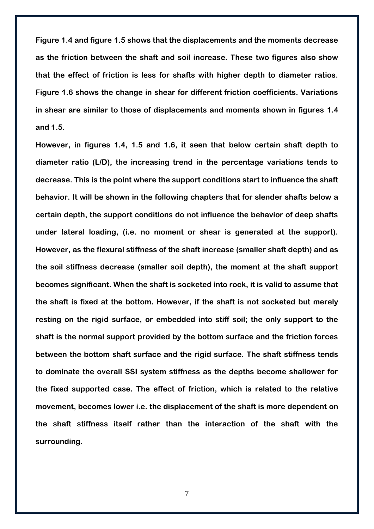**Figure 1.4 and figure 1.5 shows that the displacements and the moments decrease as the friction between the shaft and soil increase. These two figures also show that the effect of friction is less for shafts with higher depth to diameter ratios. Figure 1.6 shows the change in shear for different friction coefficients. Variations in shear are similar to those of displacements and moments shown in figures 1.4 and 1.5.**

**However, in figures 1.4, 1.5 and 1.6, it seen that below certain shaft depth to diameter ratio (L/D), the increasing trend in the percentage variations tends to decrease. This is the point where the support conditions start to influence the shaft behavior. It will be shown in the following chapters that for slender shafts below a certain depth, the support conditions do not influence the behavior of deep shafts under lateral loading, (i.e. no moment or shear is generated at the support). However, as the flexural stiffness of the shaft increase (smaller shaft depth) and as the soil stiffness decrease (smaller soil depth), the moment at the shaft support becomes significant. When the shaft is socketed into rock, it is valid to assume that the shaft is fixed at the bottom. However, if the shaft is not socketed but merely resting on the rigid surface, or embedded into stiff soil; the only support to the shaft is the normal support provided by the bottom surface and the friction forces between the bottom shaft surface and the rigid surface. The shaft stiffness tends to dominate the overall SSI system stiffness as the depths become shallower for the fixed supported case. The effect of friction, which is related to the relative movement, becomes lower i.e. the displacement of the shaft is more dependent on the shaft stiffness itself rather than the interaction of the shaft with the surrounding.** 

7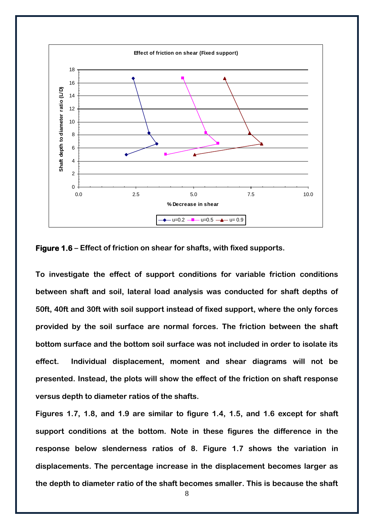![](_page_9_Figure_0.jpeg)

**Figure 1.6 – Effect of friction on shear for shafts, with fixed supports.**

**To investigate the effect of support conditions for variable friction conditions between shaft and soil, lateral load analysis was conducted for shaft depths of 50ft, 40ft and 30ft with soil support instead of fixed support, where the only forces provided by the soil surface are normal forces. The friction between the shaft bottom surface and the bottom soil surface was not included in order to isolate its effect. Individual displacement, moment and shear diagrams will not be presented. Instead, the plots will show the effect of the friction on shaft response versus depth to diameter ratios of the shafts.**

**Figures 1.7, 1.8, and 1.9 are similar to figure 1.4, 1.5, and 1.6 except for shaft support conditions at the bottom. Note in these figures the difference in the response below slenderness ratios of 8. Figure 1.7 shows the variation in displacements. The percentage increase in the displacement becomes larger as**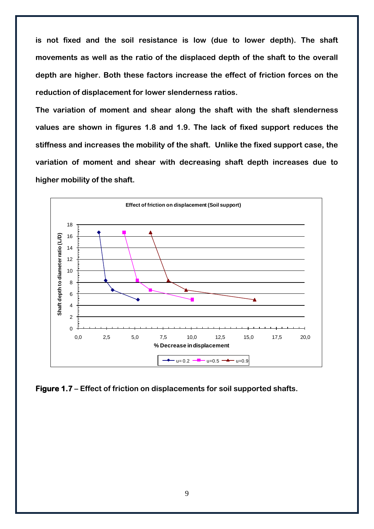**is not fixed and the soil resistance is low (due to lower depth). The shaft movements as well as the ratio of the displaced depth of the shaft to the overall depth are higher. Both these factors increase the effect of friction forces on the reduction of displacement for lower slenderness ratios.**

**The variation of moment and shear along the shaft with the shaft slenderness values are shown in figures 1.8 and 1.9. The lack of fixed support reduces the stiffness and increases the mobility of the shaft. Unlike the fixed support case, the variation of moment and shear with decreasing shaft depth increases due to higher mobility of the shaft.**

![](_page_10_Figure_2.jpeg)

**Figure 1.7 – Effect of friction on displacements for soil supported shafts.**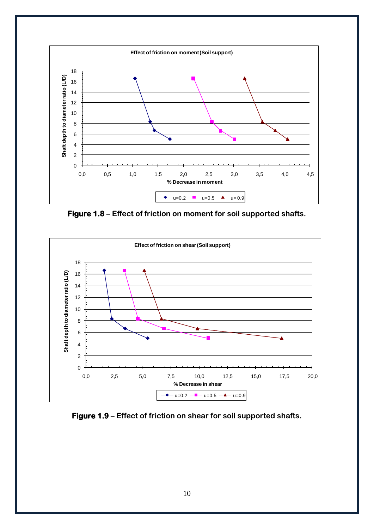![](_page_11_Figure_0.jpeg)

**Figure 1.8 – Effect of friction on moment for soil supported shafts.**

![](_page_11_Figure_2.jpeg)

**Figure 1.9 – Effect of friction on shear for soil supported shafts.**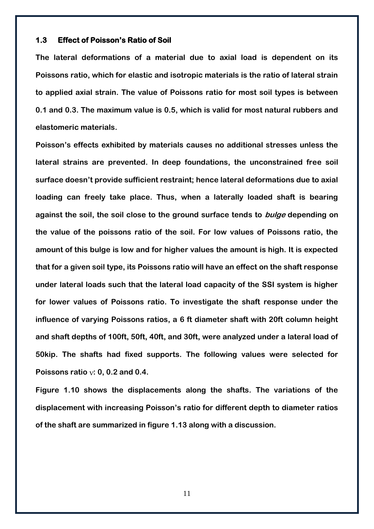#### <span id="page-12-0"></span>**1.3 Effect of Poisson's Ratio of Soil**

**The lateral deformations of a material due to axial load is dependent on its Poissons ratio, which for elastic and isotropic materials is the ratio of lateral strain to applied axial strain. The value of Poissons ratio for most soil types is between 0.1 and 0.3. The maximum value is 0.5, which is valid for most natural rubbers and elastomeric materials.** 

**Poisson's effects exhibited by materials causes no additional stresses unless the lateral strains are prevented. In deep foundations, the unconstrained free soil surface doesn't provide sufficient restraint; hence lateral deformations due to axial loading can freely take place. Thus, when a laterally loaded shaft is bearing against the soil, the soil close to the ground surface tends to bulge depending on the value of the poissons ratio of the soil. For low values of Poissons ratio, the amount of this bulge is low and for higher values the amount is high. It is expected that for a given soil type, its Poissons ratio will have an effect on the shaft response under lateral loads such that the lateral load capacity of the SSI system is higher for lower values of Poissons ratio. To investigate the shaft response under the influence of varying Poissons ratios, a 6 ft diameter shaft with 20ft column height and shaft depths of 100ft, 50ft, 40ft, and 30ft, were analyzed under a lateral load of 50kip. The shafts had fixed supports. The following values were selected for**  Poissons ratio  $v: 0, 0.2$  and 0.4.

**Figure 1.10 shows the displacements along the shafts. The variations of the displacement with increasing Poisson's ratio for different depth to diameter ratios of the shaft are summarized in figure 1.13 along with a discussion.**

11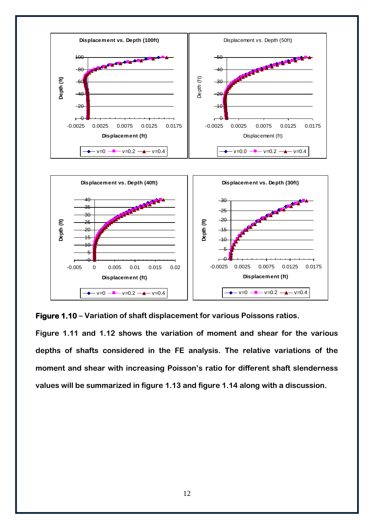![](_page_13_Figure_0.jpeg)

**Figure 1.10 – Variation of shaft displacement for various Poissons ratios.**

**Figure 1.11 and 1.12 shows the variation of moment and shear for the various depths of shafts considered in the FE analysis. The relative variations of the moment and shear with increasing Poisson's ratio for different shaft slenderness values will be summarized in figure 1.13 and figure 1.14 along with a discussion.**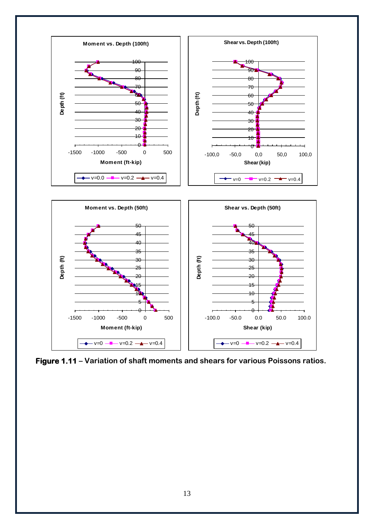![](_page_14_Figure_0.jpeg)

**Figure 1.11 – Variation of shaft moments and shears for various Poissons ratios.**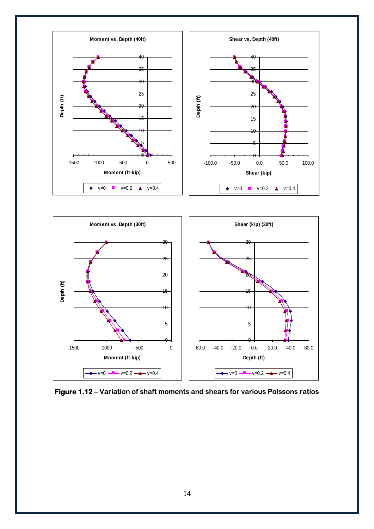![](_page_15_Figure_0.jpeg)

**Figure 1.12 – Variation of shaft moments and shears for various Poissons ratios**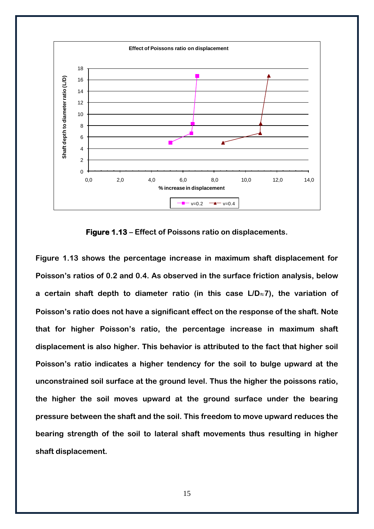![](_page_16_Figure_0.jpeg)

**Figure 1.13 – Effect of Poissons ratio on displacements.**

**Figure 1.13 shows the percentage increase in maximum shaft displacement for Poisson's ratios of 0.2 and 0.4. As observed in the surface friction analysis, below**  a certain shaft depth to diameter ratio (in this case L/D<sub><sup> $\approx$ </sup>7), the variation of</sub> **Poisson's ratio does not have a significant effect on the response of the shaft. Note that for higher Poisson's ratio, the percentage increase in maximum shaft displacement is also higher. This behavior is attributed to the fact that higher soil Poisson's ratio indicates a higher tendency for the soil to bulge upward at the unconstrained soil surface at the ground level. Thus the higher the poissons ratio, the higher the soil moves upward at the ground surface under the bearing pressure between the shaft and the soil. This freedom to move upward reduces the bearing strength of the soil to lateral shaft movements thus resulting in higher shaft displacement.**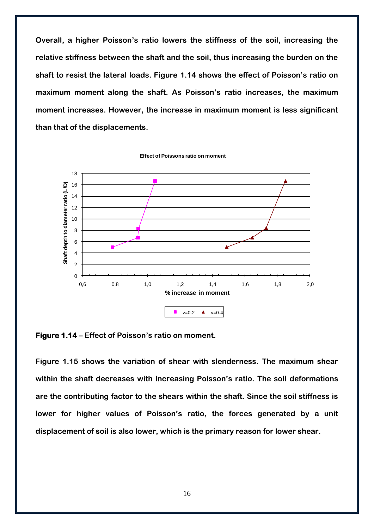**Overall, a higher Poisson's ratio lowers the stiffness of the soil, increasing the relative stiffness between the shaft and the soil, thus increasing the burden on the shaft to resist the lateral loads. Figure 1.14 shows the effect of Poisson's ratio on maximum moment along the shaft. As Poisson's ratio increases, the maximum moment increases. However, the increase in maximum moment is less significant than that of the displacements.**

![](_page_17_Figure_1.jpeg)

**Figure 1.14 – Effect of Poisson's ratio on moment.**

**Figure 1.15 shows the variation of shear with slenderness. The maximum shear within the shaft decreases with increasing Poisson's ratio. The soil deformations are the contributing factor to the shears within the shaft. Since the soil stiffness is lower for higher values of Poisson's ratio, the forces generated by a unit displacement of soil is also lower, which is the primary reason for lower shear.**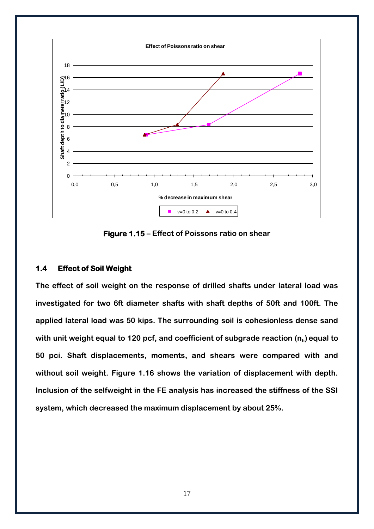![](_page_18_Figure_0.jpeg)

**Figure 1.15 – Effect of Poissons ratio on shear**

#### <span id="page-18-0"></span>**1.4 Effect of Soil Weight**

**The effect of soil weight on the response of drilled shafts under lateral load was investigated for two 6ft diameter shafts with shaft depths of 50ft and 100ft. The applied lateral load was 50 kips. The surrounding soil is cohesionless dense sand with unit weight equal to 120 pcf, and coefficient of subgrade reaction (n<sup>h</sup> ) equal to 50 pci. Shaft displacements, moments, and shears were compared with and without soil weight. Figure 1.16 shows the variation of displacement with depth. Inclusion of the selfweight in the FE analysis has increased the stiffness of the SSI system, which decreased the maximum displacement by about 25%.**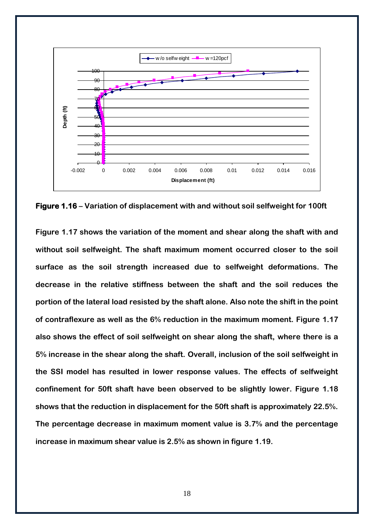![](_page_19_Figure_0.jpeg)

**Figure 1.16 – Variation of displacement with and without soil selfweight for 100ft** 

**Figure 1.17 shows the variation of the moment and shear along the shaft with and without soil selfweight. The shaft maximum moment occurred closer to the soil surface as the soil strength increased due to selfweight deformations. The decrease in the relative stiffness between the shaft and the soil reduces the portion of the lateral load resisted by the shaft alone. Also note the shift in the point of contraflexure as well as the 6% reduction in the maximum moment. Figure 1.17 also shows the effect of soil selfweight on shear along the shaft, where there is a 5% increase in the shear along the shaft. Overall, inclusion of the soil selfweight in the SSI model has resulted in lower response values. The effects of selfweight confinement for 50ft shaft have been observed to be slightly lower. Figure 1.18 shows that the reduction in displacement for the 50ft shaft is approximately 22.5%. The percentage decrease in maximum moment value is 3.7% and the percentage increase in maximum shear value is 2.5% as shown in figure 1.19.**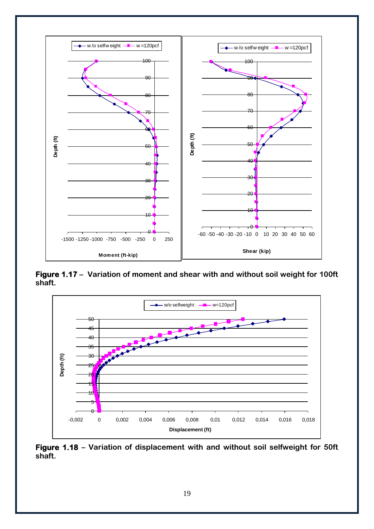![](_page_20_Figure_0.jpeg)

**Figure 1.17 – Variation of moment and shear with and without soil weight for 100ft shaft.**

![](_page_20_Figure_2.jpeg)

**Figure 1.18 – Variation of displacement with and without soil selfweight for 50ft shaft.**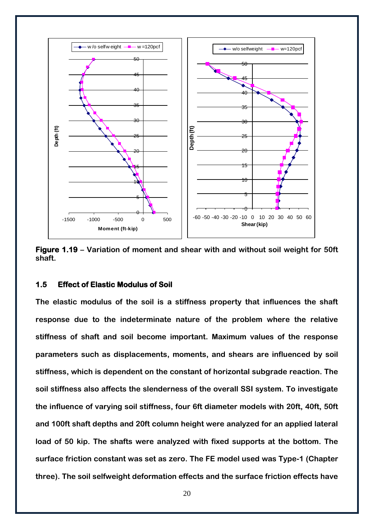![](_page_21_Figure_0.jpeg)

**Figure 1.19 – Variation of moment and shear with and without soil weight for 50ft shaft.**

#### <span id="page-21-0"></span>**1.5 Effect of Elastic Modulus of Soil**

**The elastic modulus of the soil is a stiffness property that influences the shaft response due to the indeterminate nature of the problem where the relative stiffness of shaft and soil become important. Maximum values of the response parameters such as displacements, moments, and shears are influenced by soil stiffness, which is dependent on the constant of horizontal subgrade reaction. The soil stiffness also affects the slenderness of the overall SSI system. To investigate the influence of varying soil stiffness, four 6ft diameter models with 20ft, 40ft, 50ft and 100ft shaft depths and 20ft column height were analyzed for an applied lateral load of 50 kip. The shafts were analyzed with fixed supports at the bottom. The surface friction constant was set as zero. The FE model used was Type-1 (Chapter three). The soil selfweight deformation effects and the surface friction effects have**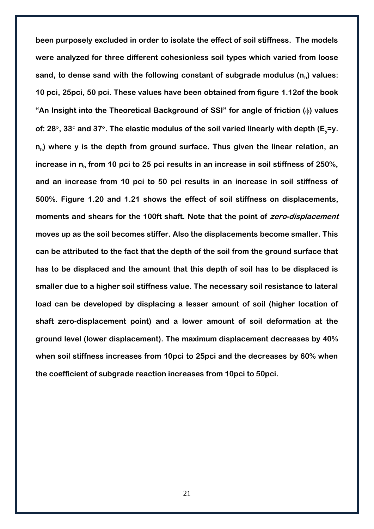**been purposely excluded in order to isolate the effect of soil stiffness. The models were analyzed for three different cohesionless soil types which varied from loose sand, to dense sand with the following constant of subgrade modulus (n<sup>h</sup> ) values: 10 pci, 25pci, 50 pci. These values have been obtained from figure 1.12of the book "An Insight into the Theoretical Background of SSI" for angle of friction ( ) values of: 28 , 33 and 37 . The elastic modulus of the soil varied linearly with depth (Ey=y. nh ) where y is the depth from ground surface. Thus given the linear relation, an increase in n<sup>h</sup> from 10 pci to 25 pci results in an increase in soil stiffness of 250%, and an increase from 10 pci to 50 pci results in an increase in soil stiffness of 500%. Figure 1.20 and 1.21 shows the effect of soil stiffness on displacements, moments and shears for the 100ft shaft. Note that the point of zero-displacement moves up as the soil becomes stiffer. Also the displacements become smaller. This can be attributed to the fact that the depth of the soil from the ground surface that has to be displaced and the amount that this depth of soil has to be displaced is smaller due to a higher soil stiffness value. The necessary soil resistance to lateral load can be developed by displacing a lesser amount of soil (higher location of shaft zero-displacement point) and a lower amount of soil deformation at the ground level (lower displacement). The maximum displacement decreases by 40% when soil stiffness increases from 10pci to 25pci and the decreases by 60% when the coefficient of subgrade reaction increases from 10pci to 50pci.**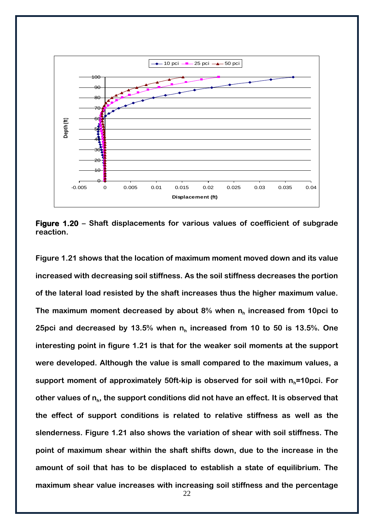![](_page_23_Figure_0.jpeg)

**Figure 1.20 – Shaft displacements for various values of coefficient of subgrade reaction.**

**Figure 1.21 shows that the location of maximum moment moved down and its value increased with decreasing soil stiffness. As the soil stiffness decreases the portion of the lateral load resisted by the shaft increases thus the higher maximum value. The maximum moment decreased by about 8% when n<sup>h</sup> increased from 10pci to 25pci and decreased by 13.5% when n<sup>h</sup> increased from 10 to 50 is 13.5%. One interesting point in figure 1.21 is that for the weaker soil moments at the support were developed. Although the value is small compared to the maximum values, a support moment of approximately 50ft-kip is observed for soil with nh=10pci. For**  other values of  $n_h$ , the support conditions did not have an effect. It is observed that **the effect of support conditions is related to relative stiffness as well as the slenderness. Figure 1.21 also shows the variation of shear with soil stiffness. The point of maximum shear within the shaft shifts down, due to the increase in the amount of soil that has to be displaced to establish a state of equilibrium. The maximum shear value increases with increasing soil stiffness and the percentage**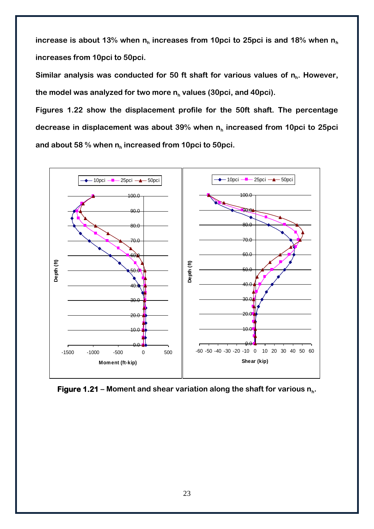increase is about 13% when n<sub>h</sub> increases from 10pci to 25pci is and 18% when n<sub>h</sub> **increases from 10pci to 50pci.**

**Similar analysis was conducted for 50 ft shaft for various values of n<sup>h</sup> . However, the model was analyzed for two more n<sup>h</sup> values (30pci, and 40pci).**

**Figures 1.22 show the displacement profile for the 50ft shaft. The percentage decrease in displacement was about 39% when n<sup>h</sup> increased from 10pci to 25pci and about 58 % when n<sup>h</sup> increased from 10pci to 50pci.**

![](_page_24_Figure_3.jpeg)

![](_page_24_Figure_4.jpeg)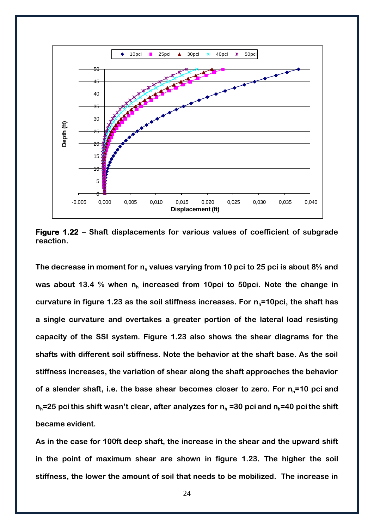![](_page_25_Figure_0.jpeg)

**Figure 1.22 – Shaft displacements for various values of coefficient of subgrade reaction.**

**The decrease in moment for n<sup>h</sup> values varying from 10 pci to 25 pci is about 8% and was about 13.4 % when n<sup>h</sup> increased from 10pci to 50pci. Note the change in curvature in figure 1.23 as the soil stiffness increases. For nh=10pci, the shaft has a single curvature and overtakes a greater portion of the lateral load resisting capacity of the SSI system. Figure 1.23 also shows the shear diagrams for the shafts with different soil stiffness. Note the behavior at the shaft base. As the soil stiffness increases, the variation of shear along the shaft approaches the behavior of a slender shaft, i.e. the base shear becomes closer to zero. For nh=10 pci and nh=25 pci this shift wasn't clear, after analyzes for n<sup>h</sup> =30 pci and nh=40 pci the shift became evident.** 

**As in the case for 100ft deep shaft, the increase in the shear and the upward shift in the point of maximum shear are shown in figure 1.23. The higher the soil stiffness, the lower the amount of soil that needs to be mobilized. The increase in**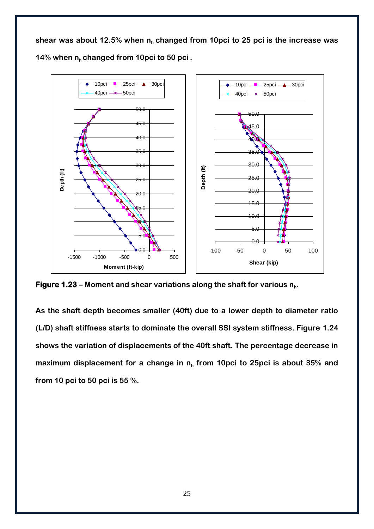**shear was about 12.5% when nh changed from 10pci to 25 pci is the increase was 14% when nh changed from 10pci to 50 pci .**

![](_page_26_Figure_1.jpeg)

**Figure 1.23 – Moment and shear variations along the shaft for various n<sup>h</sup> .**

**As the shaft depth becomes smaller (40ft) due to a lower depth to diameter ratio (L/D) shaft stiffness starts to dominate the overall SSI system stiffness. Figure 1.24 shows the variation of displacements of the 40ft shaft. The percentage decrease in maximum displacement for a change in n<sup>h</sup> from 10pci to 25pci is about 35% and from 10 pci to 50 pci is 55 %.**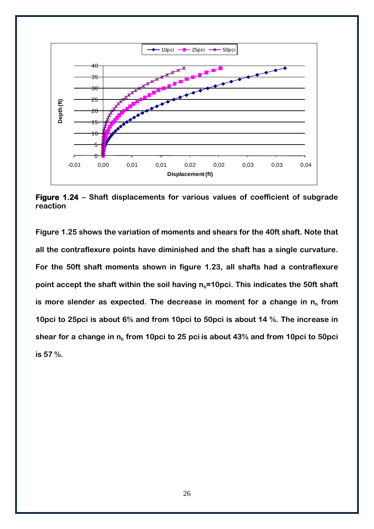![](_page_27_Figure_0.jpeg)

**Figure 1.24 – Shaft displacements for various values of coefficient of subgrade reaction**

**Figure 1.25 shows the variation of moments and shears for the 40ft shaft. Note that all the contraflexure points have diminished and the shaft has a single curvature. For the 50ft shaft moments shown in figure 1.23, all shafts had a contraflexure point accept the shaft within the soil having nh=10pci. This indicates the 50ft shaft is more slender as expected. The decrease in moment for a change in n<sup>h</sup> from 10pci to 25pci is about 6% and from 10pci to 50pci is about 14 %. The increase in shear for a change in n<sup>h</sup> from 10pci to 25 pci is about 43% and from 10pci to 50pci is 57 %.**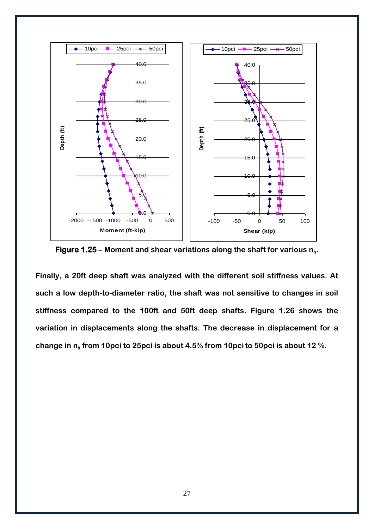![](_page_28_Figure_0.jpeg)

**Figure 1.25 – Moment and shear variations along the shaft for various n<sup>h</sup> .**

**Finally, a 20ft deep shaft was analyzed with the different soil stiffness values. At such a low depth-to-diameter ratio, the shaft was not sensitive to changes in soil stiffness compared to the 100ft and 50ft deep shafts. Figure 1.26 shows the variation in displacements along the shafts. The decrease in displacement for a change in n<sup>h</sup> from 10pci to 25pci is about 4.5% from 10pcito 50pci is about 12 %.**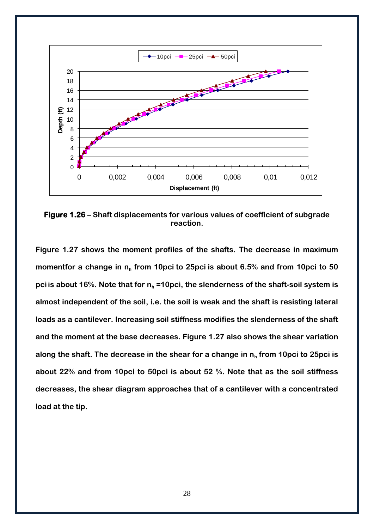![](_page_29_Figure_0.jpeg)

**Figure 1.26 – Shaft displacements for various values of coefficient of subgrade reaction.**

**Figure 1.27 shows the moment profiles of the shafts. The decrease in maximum momentfor a change in n<sup>h</sup> from 10pci to 25pci is about 6.5% and from 10pci to 50 pci is about 16%. Note that for n<sup>h</sup> =10pci, the slenderness of the shaft-soil system is almost independent of the soil, i.e. the soil is weak and the shaft is resisting lateral loads as a cantilever. Increasing soil stiffness modifies the slenderness of the shaft and the moment at the base decreases. Figure 1.27 also shows the shear variation along the shaft. The decrease in the shear for a change in n<sup>h</sup> from 10pci to 25pci is about 22% and from 10pci to 50pci is about 52 %. Note that as the soil stiffness decreases, the shear diagram approaches that of a cantilever with a concentrated load at the tip.**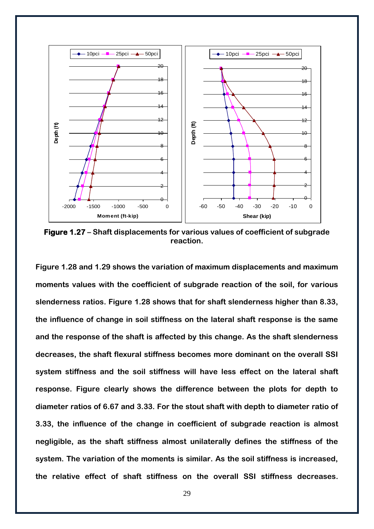![](_page_30_Figure_0.jpeg)

**Figure 1.27 – Shaft displacements for various values of coefficient of subgrade reaction.**

**Figure 1.28 and 1.29 shows the variation of maximum displacements and maximum moments values with the coefficient of subgrade reaction of the soil, for various slenderness ratios. Figure 1.28 shows that for shaft slenderness higher than 8.33, the influence of change in soil stiffness on the lateral shaft response is the same and the response of the shaft is affected by this change. As the shaft slenderness decreases, the shaft flexural stiffness becomes more dominant on the overall SSI system stiffness and the soil stiffness will have less effect on the lateral shaft response. Figure clearly shows the difference between the plots for depth to diameter ratios of 6.67 and 3.33. For the stout shaft with depth to diameter ratio of 3.33, the influence of the change in coefficient of subgrade reaction is almost negligible, as the shaft stiffness almost unilaterally defines the stiffness of the system. The variation of the moments is similar. As the soil stiffness is increased, the relative effect of shaft stiffness on the overall SSI stiffness decreases.**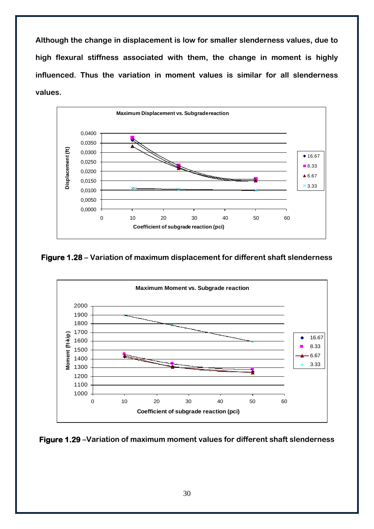**Although the change in displacement is low for smaller slenderness values, due to high flexural stiffness associated with them, the change in moment is highly influenced. Thus the variation in moment values is similar for all slenderness values.**

![](_page_31_Figure_1.jpeg)

**Figure 1.28 – Variation of maximum displacement for different shaft slenderness**

![](_page_31_Figure_3.jpeg)

**Figure 1.29 –Variation of maximum moment values for different shaft slenderness**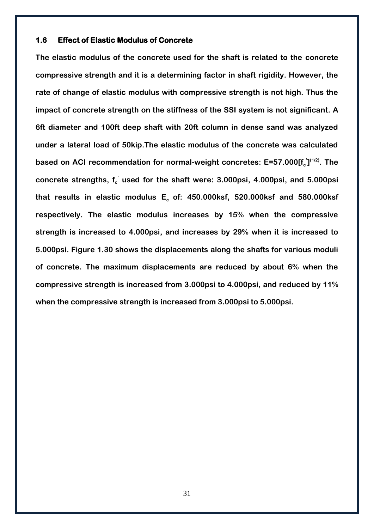#### <span id="page-32-0"></span>**1.6 Effect of Elastic Modulus of Concrete**

**The elastic modulus of the concrete used for the shaft is related to the concrete compressive strength and it is a determining factor in shaft rigidity. However, the rate of change of elastic modulus with compressive strength is not high. Thus the impact of concrete strength on the stiffness of the SSI system is not significant. A 6ft diameter and 100ft deep shaft with 20ft column in dense sand was analyzed under a lateral load of 50kip.The elastic modulus of the concrete was calculated**  based on ACI recommendation for normal-weight concretes: E=57.000[f<sub>c</sub><sup>'</sup>]<sup>(1/2)</sup>. The **concrete strengths, f<sup>c</sup> ' used for the shaft were: 3.000psi, 4.000psi, and 5.000psi that results in elastic modulus Ec of: 450.000ksf, 520.000ksf and 580.000ksf respectively. The elastic modulus increases by 15% when the compressive strength is increased to 4.000psi, and increases by 29% when it is increased to 5.000psi. Figure 1.30 shows the displacements along the shafts for various moduli of concrete. The maximum displacements are reduced by about 6% when the compressive strength is increased from 3.000psi to 4.000psi, and reduced by 11% when the compressive strength is increased from 3.000psi to 5.000psi.**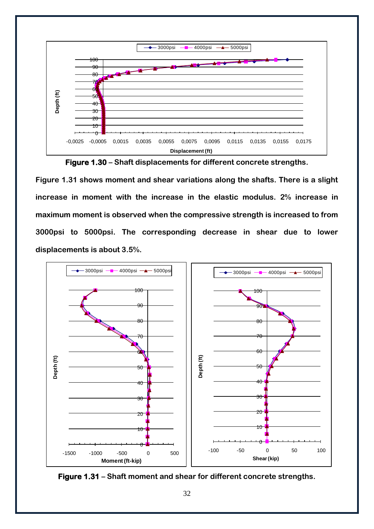![](_page_33_Figure_0.jpeg)

**Figure 1.30 – Shaft displacements for different concrete strengths.**

**Figure 1.31 shows moment and shear variations along the shafts. There is a slight increase in moment with the increase in the elastic modulus. 2% increase in maximum moment is observed when the compressive strength is increased to from 3000psi to 5000psi. The corresponding decrease in shear due to lower displacements is about 3.5%.**

![](_page_33_Figure_3.jpeg)

![](_page_33_Figure_4.jpeg)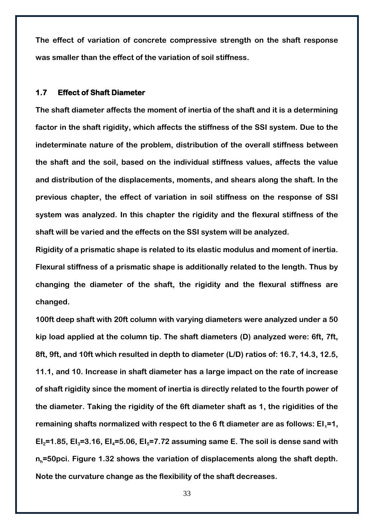**The effect of variation of concrete compressive strength on the shaft response was smaller than the effect of the variation of soil stiffness.**

#### <span id="page-34-0"></span>**1.7 Effect of Shaft Diameter**

**The shaft diameter affects the moment of inertia of the shaft and it is a determining factor in the shaft rigidity, which affects the stiffness of the SSI system. Due to the indeterminate nature of the problem, distribution of the overall stiffness between the shaft and the soil, based on the individual stiffness values, affects the value and distribution of the displacements, moments, and shears along the shaft. In the previous chapter, the effect of variation in soil stiffness on the response of SSI system was analyzed. In this chapter the rigidity and the flexural stiffness of the shaft will be varied and the effects on the SSI system will be analyzed.** 

**Rigidity of a prismatic shape is related to its elastic modulus and moment of inertia. Flexural stiffness of a prismatic shape is additionally related to the length. Thus by changing the diameter of the shaft, the rigidity and the flexural stiffness are changed.**

**100ft deep shaft with 20ft column with varying diameters were analyzed under a 50 kip load applied at the column tip. The shaft diameters (D) analyzed were: 6ft, 7ft, 8ft, 9ft, and 10ft which resulted in depth to diameter (L/D) ratios of: 16.7, 14.3, 12.5, 11.1, and 10. Increase in shaft diameter has a large impact on the rate of increase of shaft rigidity since the moment of inertia is directly related to the fourth power of the diameter. Taking the rigidity of the 6ft diameter shaft as 1, the rigidities of the**  remaining shafts normalized with respect to the 6 ft diameter are as follows: EI<sub>1</sub>=1, **EI**<sub>2</sub> $=$ **1.85, EI**<sub>3</sub> $=$ **3.16, EI<sub>4</sub>** $=$ **5.06, EI<sub>5</sub>** $=$ **7.72 assuming same E. The soil is dense sand with nh=50pci. Figure 1.32 shows the variation of displacements along the shaft depth. Note the curvature change as the flexibility of the shaft decreases.**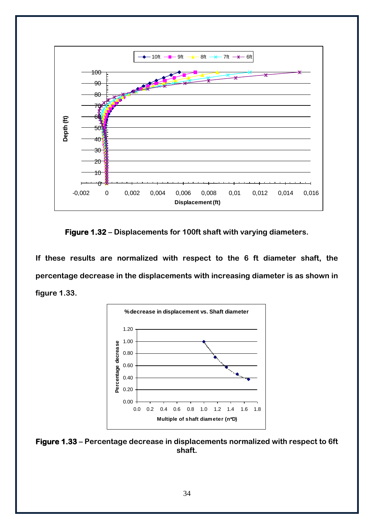![](_page_35_Figure_0.jpeg)

**Figure 1.32 – Displacements for 100ft shaft with varying diameters.**

**If these results are normalized with respect to the 6 ft diameter shaft, the percentage decrease in the displacements with increasing diameter is as shown in figure 1.33.** 

![](_page_35_Figure_3.jpeg)

**Figure 1.33 – Percentage decrease in displacements normalized with respect to 6ft shaft.**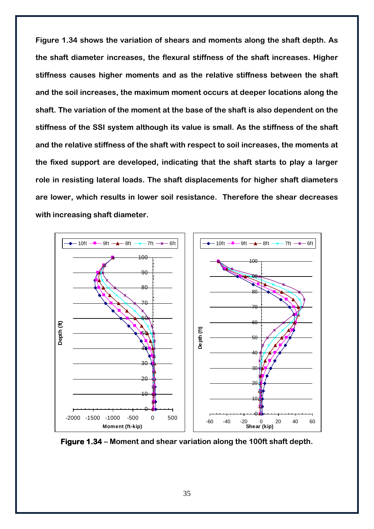**Figure 1.34 shows the variation of shears and moments along the shaft depth. As the shaft diameter increases, the flexural stiffness of the shaft increases. Higher stiffness causes higher moments and as the relative stiffness between the shaft and the soil increases, the maximum moment occurs at deeper locations along the shaft. The variation of the moment at the base of the shaft is also dependent on the stiffness of the SSI system although its value is small. As the stiffness of the shaft and the relative stiffness of the shaft with respect to soil increases, the moments at the fixed support are developed, indicating that the shaft starts to play a larger role in resisting lateral loads. The shaft displacements for higher shaft diameters are lower, which results in lower soil resistance. Therefore the shear decreases with increasing shaft diameter.**

![](_page_36_Figure_1.jpeg)

**Figure 1.34 – Moment and shear variation along the 100ft shaft depth.**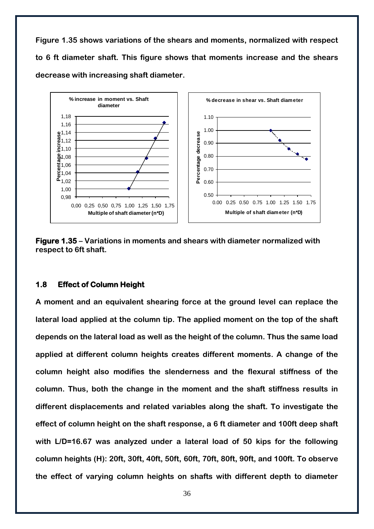**Figure 1.35 shows variations of the shears and moments, normalized with respect to 6 ft diameter shaft. This figure shows that moments increase and the shears decrease with increasing shaft diameter.**

![](_page_37_Figure_1.jpeg)

**Figure 1.35 – Variations in moments and shears with diameter normalized with respect to 6ft shaft.**

#### <span id="page-37-0"></span>**1.8 Effect of Column Height**

**A moment and an equivalent shearing force at the ground level can replace the lateral load applied at the column tip. The applied moment on the top of the shaft depends on the lateral load as well as the height of the column. Thus the same load applied at different column heights creates different moments. A change of the column height also modifies the slenderness and the flexural stiffness of the column. Thus, both the change in the moment and the shaft stiffness results in different displacements and related variables along the shaft. To investigate the effect of column height on the shaft response, a 6 ft diameter and 100ft deep shaft with L/D=16.67 was analyzed under a lateral load of 50 kips for the following column heights (H): 20ft, 30ft, 40ft, 50ft, 60ft, 70ft, 80ft, 90ft, and 100ft. To observe the effect of varying column heights on shafts with different depth to diameter**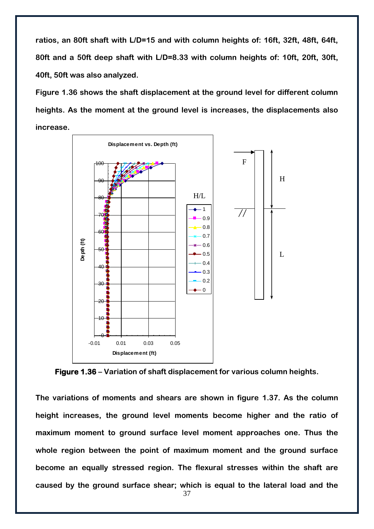**ratios, an 80ft shaft with L/D=15 and with column heights of: 16ft, 32ft, 48ft, 64ft, 80ft and a 50ft deep shaft with L/D=8.33 with column heights of: 10ft, 20ft, 30ft, 40ft, 50ft was also analyzed.** 

**Figure 1.36 shows the shaft displacement at the ground level for different column heights. As the moment at the ground level is increases, the displacements also increase.**

![](_page_38_Figure_2.jpeg)

**Figure 1.36 – Variation of shaft displacement for various column heights.**

**The variations of moments and shears are shown in figure 1.37. As the column height increases, the ground level moments become higher and the ratio of maximum moment to ground surface level moment approaches one. Thus the whole region between the point of maximum moment and the ground surface become an equally stressed region. The flexural stresses within the shaft are caused by the ground surface shear; which is equal to the lateral load and the**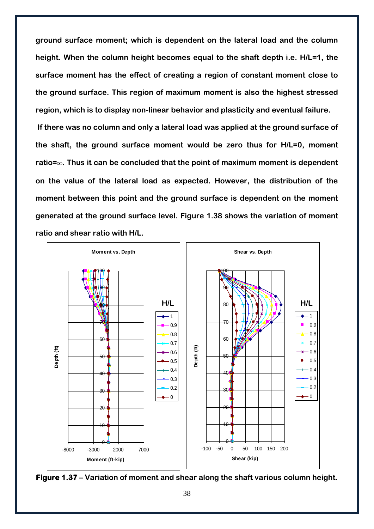**ground surface moment; which is dependent on the lateral load and the column height. When the column height becomes equal to the shaft depth i.e. H/L=1, the surface moment has the effect of creating a region of constant moment close to the ground surface. This region of maximum moment is also the highest stressed region, which is to display non-linear behavior and plasticity and eventual failure.** 

**If there was no column and only a lateral load was applied at the ground surface of the shaft, the ground surface moment would be zero thus for H/L=0, moment ratio= . Thus it can be concluded that the point of maximum moment is dependent on the value of the lateral load as expected. However, the distribution of the moment between this point and the ground surface is dependent on the moment generated at the ground surface level. Figure 1.38 shows the variation of moment ratio and shear ratio with H/L.**

![](_page_39_Figure_2.jpeg)

![](_page_39_Figure_3.jpeg)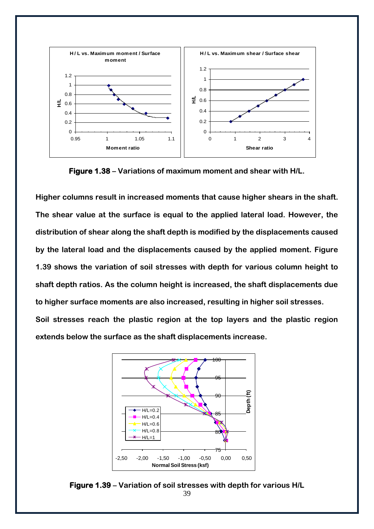![](_page_40_Figure_0.jpeg)

**Figure 1.38 – Variations of maximum moment and shear with H/L.**

**Higher columns result in increased moments that cause higher shears in the shaft. The shear value at the surface is equal to the applied lateral load. However, the distribution of shear along the shaft depth is modified by the displacements caused by the lateral load and the displacements caused by the applied moment. Figure 1.39 shows the variation of soil stresses with depth for various column height to shaft depth ratios. As the column height is increased, the shaft displacements due to higher surface moments are also increased, resulting in higher soil stresses.**

**Soil stresses reach the plastic region at the top layers and the plastic region extends below the surface as the shaft displacements increase.**

![](_page_40_Figure_4.jpeg)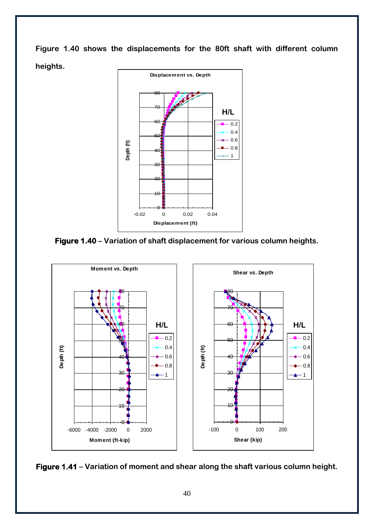**Figure 1.40 shows the displacements for the 80ft shaft with different column heights.** 

![](_page_41_Figure_1.jpeg)

**Figure 1.40 – Variation of shaft displacement for various column heights.**

![](_page_41_Figure_3.jpeg)

![](_page_41_Figure_4.jpeg)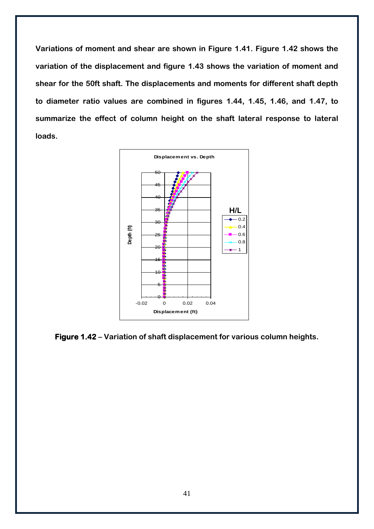**Variations of moment and shear are shown in Figure 1.41. Figure 1.42 shows the variation of the displacement and figure 1.43 shows the variation of moment and shear for the 50ft shaft. The displacements and moments for different shaft depth to diameter ratio values are combined in figures 1.44, 1.45, 1.46, and 1.47, to summarize the effect of column height on the shaft lateral response to lateral loads.**

![](_page_42_Figure_1.jpeg)

**Figure 1.42 – Variation of shaft displacement for various column heights.**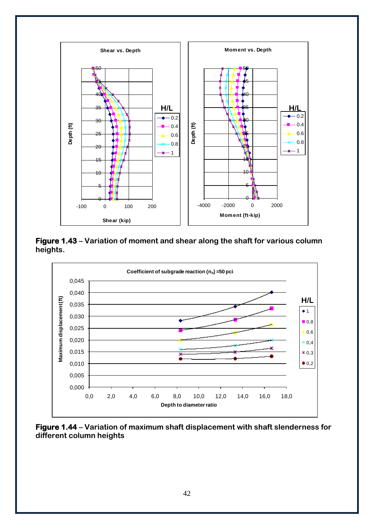![](_page_43_Figure_0.jpeg)

**Figure 1.43 – Variation of moment and shear along the shaft for various column heights.**

![](_page_43_Figure_2.jpeg)

**Figure 1.44 – Variation of maximum shaft displacement with shaft slenderness for different column heights**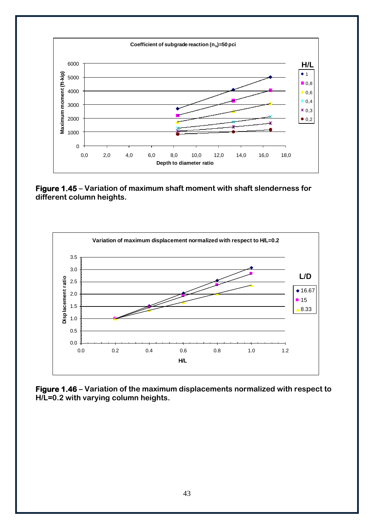![](_page_44_Figure_0.jpeg)

**Figure 1.45 – Variation of maximum shaft moment with shaft slenderness for different column heights.**

![](_page_44_Figure_2.jpeg)

**Figure 1.46 – Variation of the maximum displacements normalized with respect to H/L=0.2 with varying column heights.**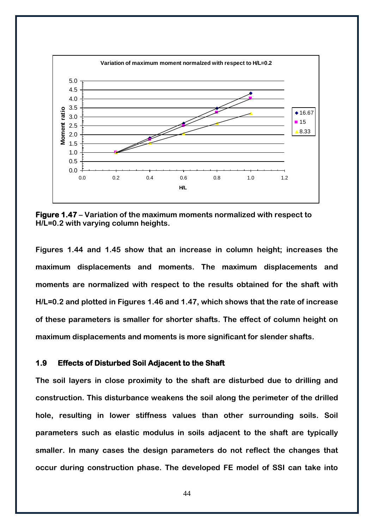![](_page_45_Figure_0.jpeg)

**Figure 1.47 – Variation of the maximum moments normalized with respect to H/L=0.2 with varying column heights.**

**Figures 1.44 and 1.45 show that an increase in column height; increases the maximum displacements and moments. The maximum displacements and moments are normalized with respect to the results obtained for the shaft with H/L=0.2 and plotted in Figures 1.46 and 1.47, which shows that the rate of increase of these parameters is smaller for shorter shafts. The effect of column height on maximum displacements and moments is more significant for slender shafts.**

#### <span id="page-45-0"></span>**1.9 Effects of Disturbed Soil Adjacent to the Shaft**

**The soil layers in close proximity to the shaft are disturbed due to drilling and construction. This disturbance weakens the soil along the perimeter of the drilled hole, resulting in lower stiffness values than other surrounding soils. Soil parameters such as elastic modulus in soils adjacent to the shaft are typically smaller. In many cases the design parameters do not reflect the changes that occur during construction phase. The developed FE model of SSI can take into**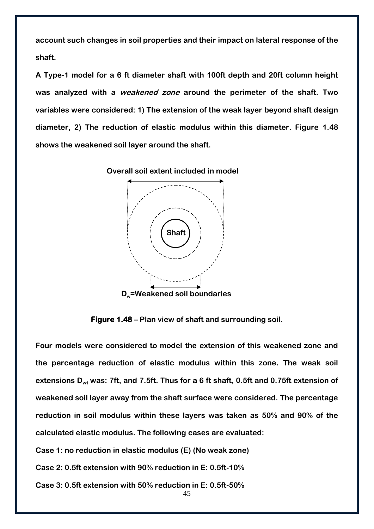**account such changes in soil properties and their impact on lateral response of the shaft.**

**A Type-1 model for a 6 ft diameter shaft with 100ft depth and 20ft column height was analyzed with a weakened zone around the perimeter of the shaft. Two variables were considered: 1) The extension of the weak layer beyond shaft design diameter, 2) The reduction of elastic modulus within this diameter. Figure 1.48 shows the weakened soil layer around the shaft.**

![](_page_46_Figure_2.jpeg)

![](_page_46_Figure_3.jpeg)

**Figure 1.48 – Plan view of shaft and surrounding soil.**

**Four models were considered to model the extension of this weakened zone and the percentage reduction of elastic modulus within this zone. The weak soil**  extensions D<sub>w1</sub> was: 7ft, and 7.5ft. Thus for a 6 ft shaft, 0.5ft and 0.75ft extension of **weakened soil layer away from the shaft surface were considered. The percentage reduction in soil modulus within these layers was taken as 50% and 90% of the calculated elastic modulus. The following cases are evaluated:**

**Case 1: no reduction in elastic modulus (E) (No weak zone)**

**Case 2: 0.5ft extension with 90% reduction in E: 0.5ft-10%**

**Case 3: 0.5ft extension with 50% reduction in E: 0.5ft-50%**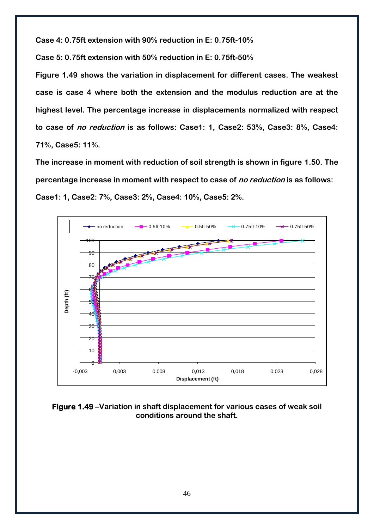**Case 4: 0.75ft extension with 90% reduction in E: 0.75ft-10%**

**Case 5: 0.75ft extension with 50% reduction in E: 0.75ft-50%**

**Figure 1.49 shows the variation in displacement for different cases. The weakest case is case 4 where both the extension and the modulus reduction are at the highest level. The percentage increase in displacements normalized with respect to case of no reduction is as follows: Case1: 1, Case2: 53%, Case3: 8%, Case4: 71%, Case5: 11%.**

**The increase in moment with reduction of soil strength is shown in figure 1.50. The percentage increase in moment with respect to case of no reduction is as follows: Case1: 1, Case2: 7%, Case3: 2%, Case4: 10%, Case5: 2%.**

![](_page_47_Figure_4.jpeg)

**Figure 1.49 –Variation in shaft displacement for various cases of weak soil conditions around the shaft.**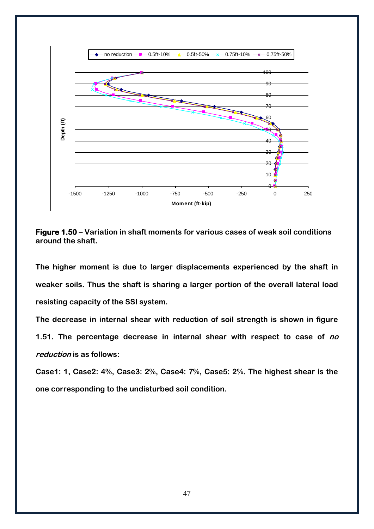![](_page_48_Figure_0.jpeg)

**Figure 1.50 – Variation in shaft moments for various cases of weak soil conditions around the shaft.**

**The higher moment is due to larger displacements experienced by the shaft in weaker soils. Thus the shaft is sharing a larger portion of the overall lateral load resisting capacity of the SSI system.**

**The decrease in internal shear with reduction of soil strength is shown in figure 1.51. The percentage decrease in internal shear with respect to case of no reduction is as follows:**

**Case1: 1, Case2: 4%, Case3: 2%, Case4: 7%, Case5: 2%. The highest shear is the one corresponding to the undisturbed soil condition.**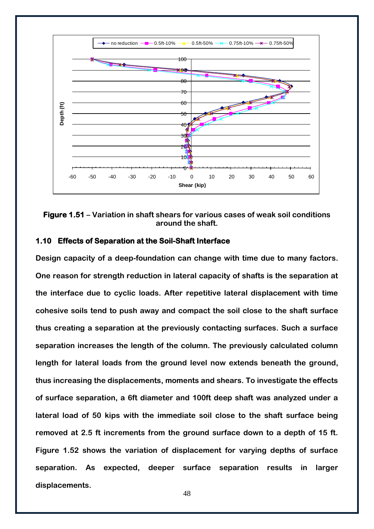![](_page_49_Figure_0.jpeg)

#### **Figure 1.51 – Variation in shaft shears for various cases of weak soil conditions around the shaft.**

#### <span id="page-49-0"></span>**1.10 Effects of Separation at the Soil-Shaft Interface**

**Design capacity of a deep-foundation can change with time due to many factors. One reason for strength reduction in lateral capacity of shafts is the separation at the interface due to cyclic loads. After repetitive lateral displacement with time cohesive soils tend to push away and compact the soil close to the shaft surface thus creating a separation at the previously contacting surfaces. Such a surface separation increases the length of the column. The previously calculated column length for lateral loads from the ground level now extends beneath the ground, thus increasing the displacements, moments and shears. To investigate the effects of surface separation, a 6ft diameter and 100ft deep shaft was analyzed under a lateral load of 50 kips with the immediate soil close to the shaft surface being removed at 2.5 ft increments from the ground surface down to a depth of 15 ft. Figure 1.52 shows the variation of displacement for varying depths of surface separation. As expected, deeper surface separation results in larger displacements.**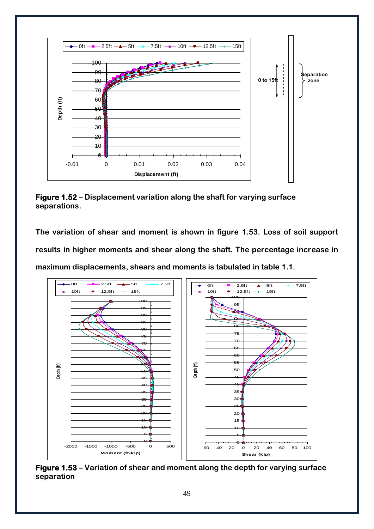![](_page_50_Figure_0.jpeg)

**Figure 1.52 – Displacement variation along the shaft for varying surface separations.**

**The variation of shear and moment is shown in figure 1.53. Loss of soil support results in higher moments and shear along the shaft. The percentage increase in maximum displacements, shears and moments is tabulated in table 1.1.** 

![](_page_50_Figure_3.jpeg)

**Figure 1.53 – Variation of shear and moment along the depth for varying surface separation**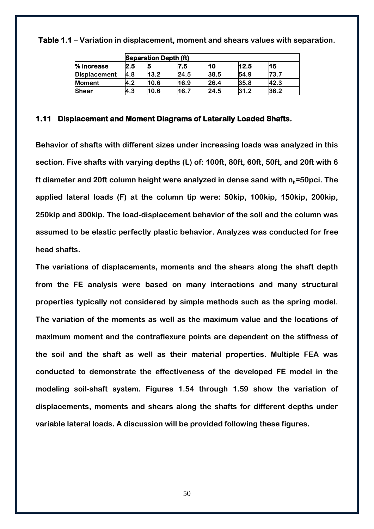|                     | <b>Separation Depth (ft)</b> |      |      |      |      |      |  |  |
|---------------------|------------------------------|------|------|------|------|------|--|--|
| % increase          | 2.5                          |      | .5   | 10   | 12.5 | 15   |  |  |
| <b>Displacement</b> | 4.8                          | 13.2 | 24.5 | 38.5 | 54.9 | 73.7 |  |  |
| <b>Moment</b>       | 4.2                          | 10.6 | 16.9 | 26.4 | 35.8 | 42.3 |  |  |
| <b>Shear</b>        | 4.3                          | 10.6 | 16.7 | 24.5 | 31.2 | 36.2 |  |  |

**Table 1.1 – Variation in displacement, moment and shears values with separation.**

#### <span id="page-51-0"></span>**1.11 Displacement and Moment Diagrams of Laterally Loaded Shafts.**

**Behavior of shafts with different sizes under increasing loads was analyzed in this section. Five shafts with varying depths (L) of: 100ft, 80ft, 60ft, 50ft, and 20ft with 6 ft diameter and 20ft column height were analyzed in dense sand with nh=50pci. The applied lateral loads (F) at the column tip were: 50kip, 100kip, 150kip, 200kip, 250kip and 300kip. The load-displacement behavior of the soil and the column was assumed to be elastic perfectly plastic behavior. Analyzes was conducted for free head shafts.**

**The variations of displacements, moments and the shears along the shaft depth from the FE analysis were based on many interactions and many structural properties typically not considered by simple methods such as the spring model. The variation of the moments as well as the maximum value and the locations of maximum moment and the contraflexure points are dependent on the stiffness of the soil and the shaft as well as their material properties. Multiple FEA was conducted to demonstrate the effectiveness of the developed FE model in the modeling soil-shaft system. Figures 1.54 through 1.59 show the variation of displacements, moments and shears along the shafts for different depths under variable lateral loads. A discussion will be provided following these figures.**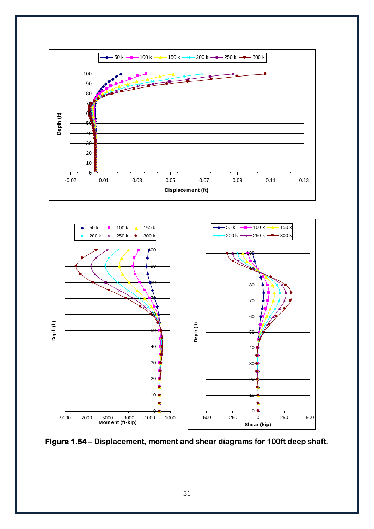![](_page_52_Figure_0.jpeg)

![](_page_52_Figure_1.jpeg)

**Figure 1.54 – Displacement, moment and shear diagrams for 100ft deep shaft.**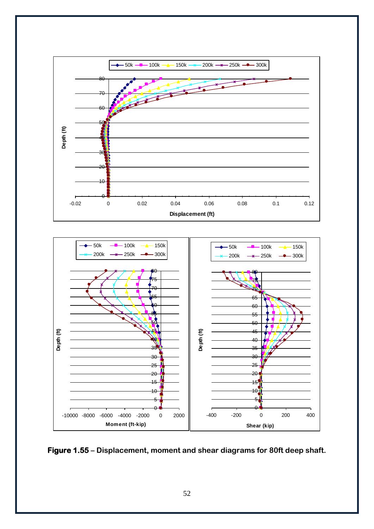![](_page_53_Figure_0.jpeg)

![](_page_53_Figure_1.jpeg)

![](_page_53_Figure_2.jpeg)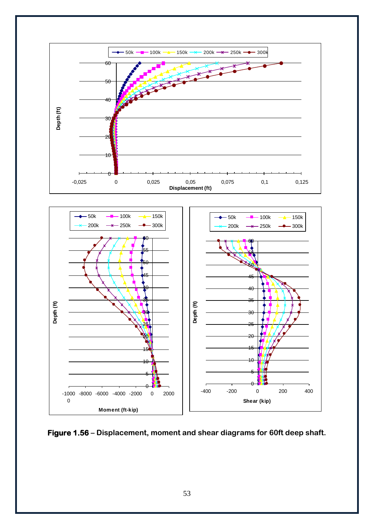![](_page_54_Figure_0.jpeg)

![](_page_54_Figure_1.jpeg)

**Figure 1.56 – Displacement, moment and shear diagrams for 60ft deep shaft.**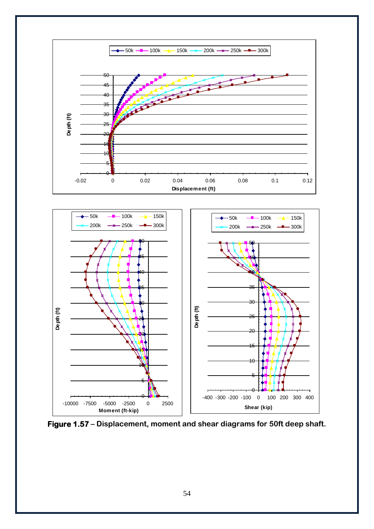![](_page_55_Figure_0.jpeg)

![](_page_55_Figure_1.jpeg)

**Figure 1.57 – Displacement, moment and shear diagrams for 50ft deep shaft.**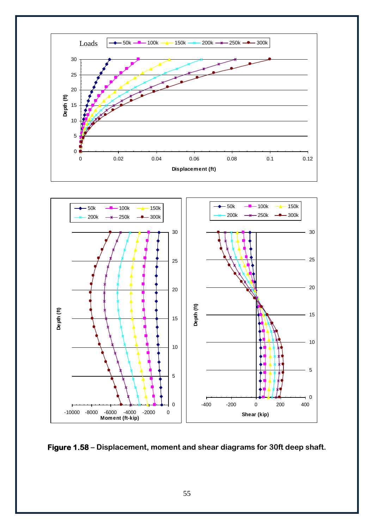![](_page_56_Figure_0.jpeg)

![](_page_56_Figure_1.jpeg)

![](_page_56_Figure_2.jpeg)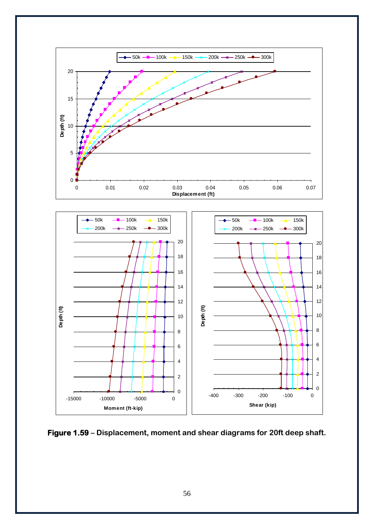![](_page_57_Figure_0.jpeg)

**Figure 1.59 – Displacement, moment and shear diagrams for 20ft deep shaft.**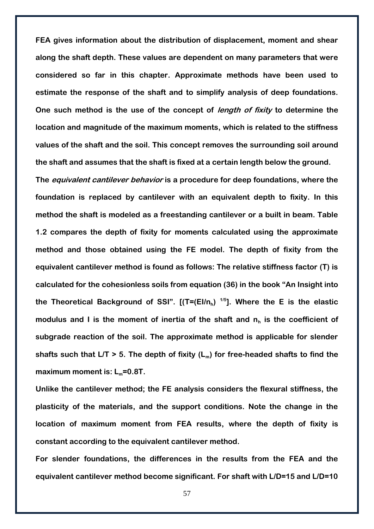**FEA gives information about the distribution of displacement, moment and shear along the shaft depth. These values are dependent on many parameters that were considered so far in this chapter. Approximate methods have been used to estimate the response of the shaft and to simplify analysis of deep foundations. One such method is the use of the concept of length of fixity to determine the location and magnitude of the maximum moments, which is related to the stiffness values of the shaft and the soil. This concept removes the surrounding soil around the shaft and assumes that the shaft is fixed at a certain length below the ground.**

**The equivalent cantilever behavior is a procedure for deep foundations, where the foundation is replaced by cantilever with an equivalent depth to fixity. In this method the shaft is modeled as a freestanding cantilever or a built in beam. Table 1.2 compares the depth of fixity for moments calculated using the approximate method and those obtained using the FE model. The depth of fixity from the equivalent cantilever method is found as follows: The relative stiffness factor (T) is calculated for the cohesionless soils from equation (36) in the book "An Insight into the Theoretical Background of SSI". [(T=(EI/n<sup>h</sup> ) 1/5]. Where the E is the elastic modulus and I is the moment of inertia of the shaft and n<sup>h</sup> is the coefficient of subgrade reaction of the soil. The approximate method is applicable for slender shafts such that L/T > 5. The depth of fixity (Lm) for free-headed shafts to find the maximum moment is: Lm=0.8T.**

**Unlike the cantilever method; the FE analysis considers the flexural stiffness, the plasticity of the materials, and the support conditions. Note the change in the location of maximum moment from FEA results, where the depth of fixity is constant according to the equivalent cantilever method.**

**For slender foundations, the differences in the results from the FEA and the equivalent cantilever method become significant. For shaft with L/D=15 and L/D=10**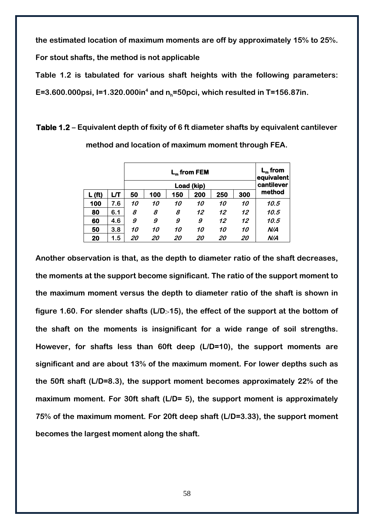**the estimated location of maximum moments are off by approximately 15% to 25%.** 

**For stout shafts, the method is not applicable**

**Table 1.2 is tabulated for various shaft heights with the following parameters:** 

**E=3.600.000psi, I=1.320.000in<sup>4</sup> and nh=50pci, which resulted in T=156.87in.**

|        |     | $L_m$ from FEM<br>Load (kip) |     |     |     |     |     | $L_m$ from<br>equivalent<br>cantilever |
|--------|-----|------------------------------|-----|-----|-----|-----|-----|----------------------------------------|
| L (ft) | பா  | 50                           | 100 | 150 | 200 | 250 | 300 | method                                 |
| 100    | 7.6 | 10                           | 10  | 10  | 10  | 10  | 10  | 10.5                                   |
| 80     | 6.1 | 8                            | 8   | 8   | 12  | 12  | 12  | 10.5                                   |
| 60     | 4.6 | 9                            | 9   | 9   | 9   | 12  | 12  | 10.5                                   |
| 50     | 3.8 | 10                           | 10  | 10  | 10  | 10  | 10  | N/A                                    |
| 20     | 1.5 | 20                           | 20  | 20  | 20  | 20  | 20  | N/A                                    |

**Table 1.2 – Equivalent depth of fixity of 6 ft diameter shafts by equivalent cantilever** 

**Another observation is that, as the depth to diameter ratio of the shaft decreases, the moments at the support become significant. The ratio of the support moment to the maximum moment versus the depth to diameter ratio of the shaft is shown in**  figure 1.60. For slender shafts (L/D>15), the effect of the support at the bottom of **the shaft on the moments is insignificant for a wide range of soil strengths. However, for shafts less than 60ft deep (L/D=10), the support moments are significant and are about 13% of the maximum moment. For lower depths such as the 50ft shaft (L/D=8.3), the support moment becomes approximately 22% of the maximum moment. For 30ft shaft (L/D= 5), the support moment is approximately 75% of the maximum moment. For 20ft deep shaft (L/D=3.33), the support moment becomes the largest moment along the shaft.** 

**method and location of maximum moment through FEA.**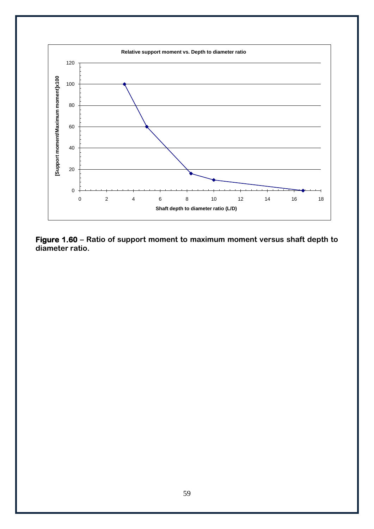![](_page_60_Figure_0.jpeg)

**Figure 1.60 – Ratio of support moment to maximum moment versus shaft depth to diameter ratio.**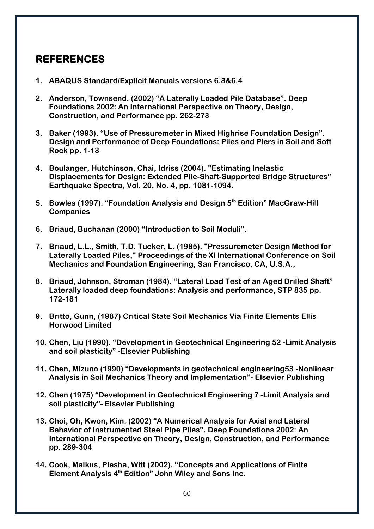## <span id="page-61-0"></span>**REFERENCES**

- **1. ABAQUS Standard/Explicit Manuals versions 6.3&6.4**
- **2. Anderson, Townsend. (2002) "A Laterally Loaded Pile Database". Deep Foundations 2002: An International Perspective on Theory, Design, Construction, and Performance pp. 262-273**
- **3. Baker (1993). "Use of Pressuremeter in Mixed Highrise Foundation Design". Design and Performance of Deep Foundations: Piles and Piers in Soil and Soft Rock pp. 1-13**
- **4. Boulanger, Hutchinson, Chai, Idriss (2004). "Estimating Inelastic Displacements for Design: Extended Pile-Shaft-Supported Bridge Structures" Earthquake Spectra, Vol. 20, No. 4, pp. 1081-1094.**
- **5. Bowles (1997). "Foundation Analysis and Design 5th Edition" MacGraw-Hill Companies**
- **6. Briaud, Buchanan (2000) "Introduction to Soil Moduli".**
- **7. Briaud, L.L., Smith, T.D. Tucker, L. (1985). "Pressuremeter Design Method for Laterally Loaded Piles," Proceedings of the XI International Conference on Soil Mechanics and Foundation Engineering, San Francisco, CA, U.S.A.,**
- **8. Briaud, Johnson, Stroman (1984). "Lateral Load Test of an Aged Drilled Shaft" Laterally loaded deep foundations: Analysis and performance, STP 835 pp. 172-181**
- **9. Britto, Gunn, (1987) Critical State Soil Mechanics Via Finite Elements Ellis Horwood Limited**
- **10. Chen, Liu (1990). "Development in Geotechnical Engineering 52 -Limit Analysis and soil plasticity" -Elsevier Publishing**
- **11. Chen, Mizuno (1990) "Developments in geotechnical engineering53 -Nonlinear Analysis in Soil Mechanics Theory and Implementation"- Elsevier Publishing**
- **12. Chen (1975) "Development in Geotechnical Engineering 7 -Limit Analysis and soil plasticity"- Elsevier Publishing**
- **13. Choi, Oh, Kwon, Kim. (2002) "A Numerical Analysis for Axial and Lateral Behavior of Instrumented Steel Pipe Piles". Deep Foundations 2002: An International Perspective on Theory, Design, Construction, and Performance pp. 289-304**
- **14. Cook, Malkus, Plesha, Witt (2002). "Concepts and Applications of Finite Element Analysis 4th Edition" John Wiley and Sons Inc.**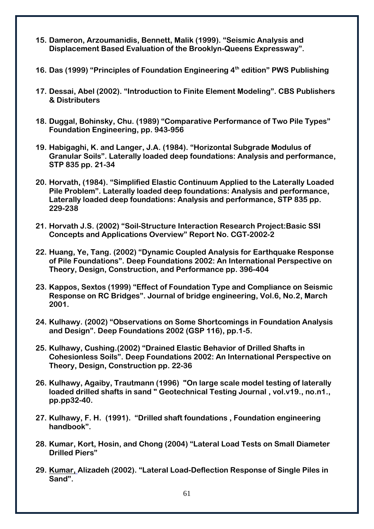- **15. Dameron, Arzoumanidis, Bennett, Malik (1999). "Seismic Analysis and Displacement Based Evaluation of the Brooklyn-Queens Expressway".**
- **16. Das (1999) "Principles of Foundation Engineering 4th edition" PWS Publishing**
- **17. Dessai, Abel (2002). "Introduction to Finite Element Modeling". CBS Publishers & Distributers**
- **18. Duggal, Bohinsky, Chu. (1989) "Comparative Performance of Two Pile Types" Foundation Engineering, pp. 943-956**
- **19. Habigaghi, K. and Langer, J.A. (1984). "Horizontal Subgrade Modulus of Granular Soils". Laterally loaded deep foundations: Analysis and performance, STP 835 pp. 21-34**
- **20. Horvath, (1984). "Simplified Elastic Continuum Applied to the Laterally Loaded Pile Problem". Laterally loaded deep foundations: Analysis and performance, Laterally loaded deep foundations: Analysis and performance, STP 835 pp. 229-238**
- **21. Horvath J.S. (2002) "Soil-Structure Interaction Research Project:Basic SSI Concepts and Applications Overview" Report No. CGT-2002-2**
- **22. Huang, Ye, Tang. (2002) "Dynamic Coupled Analysis for Earthquake Response of Pile Foundations". Deep Foundations 2002: An International Perspective on Theory, Design, Construction, and Performance pp. 396-404**
- **23. Kappos, Sextos (1999) "Effect of Foundation Type and Compliance on Seismic Response on RC Bridges". Journal of bridge engineering, Vol.6, No.2, March 2001.**
- **24. Kulhawy. (2002) "Observations on Some Shortcomings in Foundation Analysis and Design". Deep Foundations 2002 (GSP 116), pp.1-5.**
- **25. Kulhawy, Cushing.(2002) "Drained Elastic Behavior of Drilled Shafts in Cohesionless Soils". Deep Foundations 2002: An International Perspective on Theory, Design, Construction pp. 22-36**
- **26. Kulhawy, Agaiby, Trautmann (1996) "On large scale model testing of laterally loaded drilled shafts in sand " Geotechnical Testing Journal , vol.v19., no.n1., pp.pp32-40.**
- **27. Kulhawy, F. H. (1991). "Drilled shaft foundations , Foundation engineering handbook".**
- **28. Kumar, Kort, Hosin, and Chong (2004) "Lateral Load Tests on Small Diameter Drilled Piers"**
- **29. Kumar, Alizadeh (2002). "Lateral Load-Deflection Response of Single Piles in Sand".**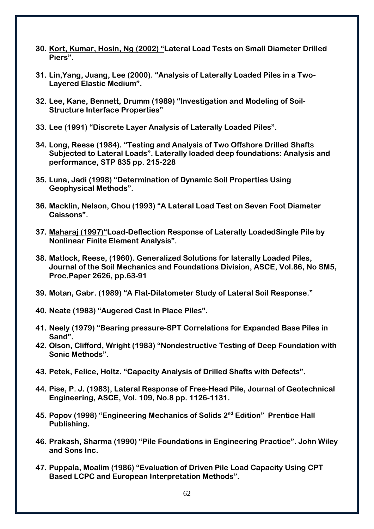- **30. Kort, Kumar, Hosin, Ng (2002) "Lateral Load Tests on Small Diameter Drilled Piers".**
- **31. Lin,Yang, Juang, Lee (2000). "Analysis of Laterally Loaded Piles in a Two-Layered Elastic Medium".**
- **32. Lee, Kane, Bennett, Drumm (1989) "Investigation and Modeling of Soil-Structure Interface Properties"**
- **33. Lee (1991) "Discrete Layer Analysis of Laterally Loaded Piles".**
- **34. Long, Reese (1984). "Testing and Analysis of Two Offshore Drilled Shafts Subjected to Lateral Loads". Laterally loaded deep foundations: Analysis and performance, STP 835 pp. 215-228**
- **35. Luna, Jadi (1998) "Determination of Dynamic Soil Properties Using Geophysical Methods".**
- **36. Macklin, Nelson, Chou (1993) "A Lateral Load Test on Seven Foot Diameter Caissons".**
- **37. Maharaj (1997)"Load-Deflection Response of Laterally LoadedSingle Pile by Nonlinear Finite Element Analysis".**
- **38. Matlock, Reese, (1960). Generalized Solutions for laterally Loaded Piles, Journal of the Soil Mechanics and Foundations Division, ASCE, Vol.86, No SM5, Proc.Paper 2626, pp.63-91**
- **39. Motan, Gabr. (1989) "A Flat-Dilatometer Study of Lateral Soil Response."**
- **40. Neate (1983) "Augered Cast in Place Piles".**
- **41. Neely (1979) "Bearing pressure-SPT Correlations for Expanded Base Piles in Sand".**
- **42. Olson, Clifford, Wright (1983) "Nondestructive Testing of Deep Foundation with Sonic Methods".**
- **43. Petek, Felice, Holtz. "Capacity Analysis of Drilled Shafts with Defects".**
- **44. Pise, P. J. (1983), Lateral Response of Free-Head Pile, Journal of Geotechnical Engineering, ASCE, Vol. 109, No.8 pp. 1126-1131.**
- **45. Popov (1998) "Engineering Mechanics of Solids 2nd Edition" Prentice Hall Publishing.**
- **46. Prakash, Sharma (1990) "Pile Foundations in Engineering Practice". John Wiley and Sons Inc.**
- **47. Puppala, Moalim (1986) "Evaluation of Driven Pile Load Capacity Using CPT Based LCPC and European Interpretation Methods".**